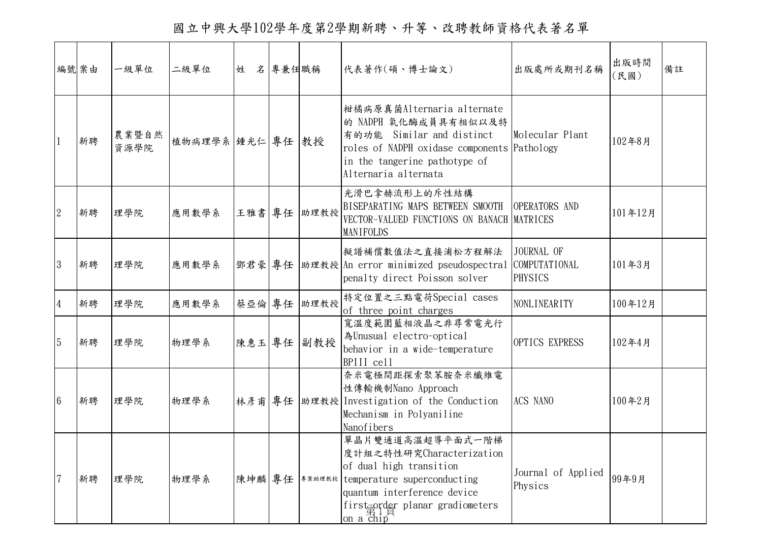國立中興大學102學年度第2學期新聘、升等、改聘教師資格代表著名單

|                | 編號案由 | 一級單位          | 二級單位             | 姓      | 名 專兼任職稱 |             | 代表著作(碩、博士論文)                                                                                                                                                                                                                      | 出版處所或期刊名稱                     | 出版時間<br>(民國) | 備註 |
|----------------|------|---------------|------------------|--------|---------|-------------|-----------------------------------------------------------------------------------------------------------------------------------------------------------------------------------------------------------------------------------|-------------------------------|--------------|----|
|                | 新聘   | 農業暨自然<br>資源學院 | 植物病理學系 锤光仁 專任 教授 |        |         |             | 柑橘病原真菌Alternaria alternate<br>的 NADPH 氧化酶成員具有相似以及特<br>有的功能 Similar and distinct<br>roles of NADPH oxidase components Pathology<br>in the tangerine pathotype of<br>Alternaria alternata                                           | Molecular Plant               | 102年8月       |    |
| 2              | 新聘   | 理學院           | 應用數學系            |        |         | 王雅書 專任 助理教授 | 光滑巴拿赫流形上的斥性結構<br>BISEPARATING MAPS BETWEEN SMOOTH<br>VECTOR-VALUED FUNCTIONS ON BANACH MATRICES<br>MANIFOLDS                                                                                                                      | OPERATORS AND                 | 101年12月      |    |
| 3              | 新聘   | 理學院           | 應用數學系            |        |         |             | 擬譜補償數值法之直接浦松方程解法<br> 鄧君豪 專任  助理教授 An error minimized pseudospectral COMPUTATIONAL<br>penalty direct Poisson solver                                                                                                                | JOURNAL OF<br><b>PHYSICS</b>  | 101年3月       |    |
| $\overline{4}$ | 新聘   | 理學院           | 應用數學系            | 蔡亞倫 專任 |         | 助理教授        | 特定位置之三點電荷Special cases<br>of three point charges                                                                                                                                                                                  | <b>NONLINEARITY</b>           | 100年12月      |    |
| 5              | 新聘   | 理學院           | 物理學系             | 陳惠玉 專任 |         | 副教授         | 寬溫度範圍藍相液晶之非尋常電光行<br>為Unusual electro-optical<br>behavior in a wide-temperature<br>BPIII cell                                                                                                                                      | OPTICS EXPRESS                | 102年4月       |    |
| 6              | 新聘   | 理學院           | 物理學系             | 林彦甫 專任 |         |             | 奈米電極間距探索聚苯胺奈米纖維電<br>性傳輸機制Nano Approach<br> 助理教授 Investigation of the Conduction<br>Mechanism in Polyaniline<br>Nanofibers                                                                                                         | ACS NANO                      | 100年2月       |    |
| $\overline{7}$ | 新聘   | 理學院           | 物理學系             |        |         |             | 單晶片雙通道高溫超導平面式一階梯<br>度計組之特性研究Characterization<br>of dual high transition<br>陳坤麟 專任   事業助理教授   temperature superconducting<br>quantum interference device<br>first order planar gradiometers<br>on $a \overline{ch} 1 \overline{p}$ | Journal of Applied<br>Physics | 99年9月        |    |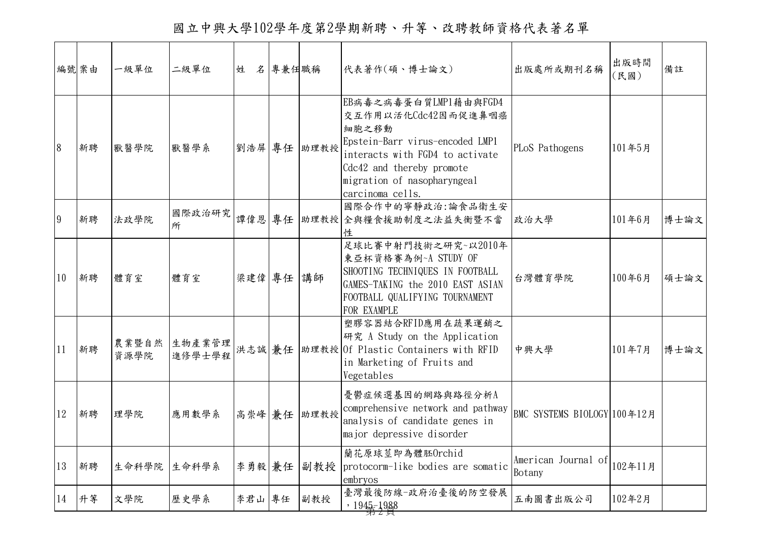國立中興大學102學年度第2學期新聘、升等、改聘教師資格代表著名單

|    | 編號案由 | 一級單位  | 二級單位                   | 姓 名 專兼任職稱 |             | 代表著作(碩、博士論文)                                                                                                                                                                                                | 出版處所或期刊名稱                     | 出版時間<br>(民國) | 備註   |
|----|------|-------|------------------------|-----------|-------------|-------------------------------------------------------------------------------------------------------------------------------------------------------------------------------------------------------------|-------------------------------|--------------|------|
| 8  | 新聘   | 獸醫學院  | 獸醫學系                   |           | 劉浩屏 專任 助理教授 | EB病毒之病毒蛋白質LMP1藉由與FGD4<br>交互作用以活化Cdc42因而促進鼻咽癌<br>細胞之移動<br>Epstein-Barr virus-encoded LMP1<br>interacts with FGD4 to activate<br>Cdc42 and thereby promote<br>migration of nasopharyngeal<br>carcinoma cells. | PLoS Pathogens                | 101年5月       |      |
| 9  | 新聘   | 法政學院  | 國際政治研究<br>所            | 譚偉恩 專任    |             | 國際合作中的寧靜政治:論食品衛生安<br>助理教授全與糧食援助制度之法益失衡暨不當<br>性                                                                                                                                                              | 政治大學                          | 101年6月       | 博士論文 |
| 10 | 新聘   | 體育室   | 體育室                    | 梁建偉 專任 講師 |             | 足球比賽中射門技術之研究~以2010年<br>東亞杯資格賽為例~A STUDY OF<br>SHOOTING TECHNIQUES IN FOOTBALL<br>GAMES-TAKING the 2010 EAST ASIAN<br>FOOTBALL QUALIFYING TOURNAMENT<br>FOR EXAMPLE                                          | 台灣體育學院                        | 100年6月       | 碩士論文 |
| 11 | 新聘   | 資源學院  | 農業暨自然 生物產業管理<br>進修學士學程 | 洪志誠 兼任    |             | 塑膠容器結合RFID應用在蔬果運銷之<br>研究 A Study on the Application<br>助理教授 Of Plastic Containers with RFID<br>in Marketing of Fruits and<br>Vegetables                                                                     | 中興大學                          | 101年7月       | 博士論文 |
| 12 | 新聘   | 理學院   | 應用數學系                  |           | 高崇峰 兼任 助理教授 | 憂鬱症候選基因的網路與路徑分析A<br>comprehensive network and pathway<br>analysis of candidate genes in<br>major depressive disorder                                                                                        | BMC SYSTEMS BIOLOGY 100年12月   |              |      |
| 13 | 新聘   | 生命科學院 | 生命科學系                  | 李勇毅 兼任    |             | 蘭花原球莖即為體胚Orchid<br>副教授 protocorm-like bodies are somatic<br>embryos                                                                                                                                         | American Journal of<br>Botany | 102年11月      |      |
| 14 | 升等   | 文學院   | 歷史學系                   | 李君山專任     | 副教授         | 臺灣最後防線-政府治臺後的防空發展<br>, $1945 - 1988$                                                                                                                                                                        | 五南圖書出版公司                      | 102年2月       |      |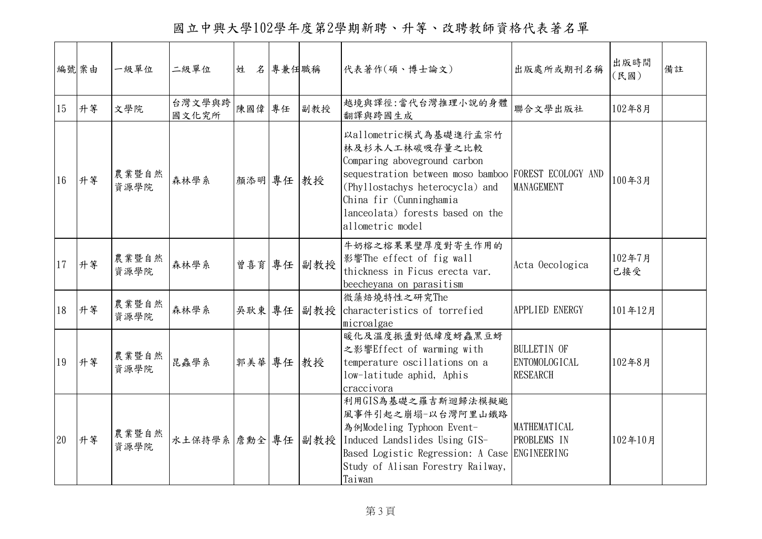國立中興大學102學年度第2學期新聘、升等、改聘教師資格代表著名單

|    | 編號案由 | 一級單位          | 二級單位              | 姓         | 名 專兼任職稱 |            | 代表著作(碩、博士論文)                                                                                                                                                                                                                                                 | 出版處所或期刊名稱                                                     | 出版時間<br>(民國)  | 備註 |
|----|------|---------------|-------------------|-----------|---------|------------|--------------------------------------------------------------------------------------------------------------------------------------------------------------------------------------------------------------------------------------------------------------|---------------------------------------------------------------|---------------|----|
| 15 | 升等   | 文學院           | 台灣文學與跨<br>國文化究所   | 陳國偉專任     |         | 副教授        | 越境與譯徑:當代台灣推理小說的身體<br>翻譯與跨國生成                                                                                                                                                                                                                                 | 聯合文學出版社                                                       | 102年8月        |    |
| 16 | 升等   | 農業暨自然<br>資源學院 | 森林學系              | 顏添明 專任    |         | 教授         | <b>以allometric模式為基礎進行孟宗竹</b><br>林及杉木人工林碳吸存量之比較<br>Comparing aboveground carbon<br>sequestration between moso bamboo FOREST ECOLOGY AND<br>(Phyllostachys heterocycla) and<br>China fir (Cunninghamia<br>lanceolata) forests based on the<br>allometric model | MANAGEMENT                                                    | 100年3月        |    |
| 17 | 升等   | 農業暨自然<br>資源學院 | 森林學系              |           |         | 曾喜育 專任 副教授 | 牛奶榕之榕果果壁厚度對寄生作用的<br>影響The effect of fig wall<br>thickness in Ficus erecta var.<br>beecheyana on parasitism                                                                                                                                                   | Acta Oecologica                                               | 102年7月<br>已接受 |    |
| 18 | 升等   | 農業暨自然<br>資源學院 | 森林學系              |           |         | 吳耿東 專任 副教授 | 微藻焙燒特性之研究The<br>characteristics of torrefied<br>microalgae                                                                                                                                                                                                   | APPLIED ENERGY                                                | 101年12月       |    |
| 19 | 升等   | 農業暨自然<br>資源學院 | 昆蟲學系              | 郭美華 專任 教授 |         |            | 暖化及溫度振盪對低緯度蚜蟲黑豆蚜<br>之影響Effect of warming with<br>temperature oscillations on a<br>low-latitude aphid, Aphis<br>craccivora                                                                                                                                    | <b>BULLETIN OF</b><br><b>ENTOMOLOGICAL</b><br><b>RESEARCH</b> | 102年8月        |    |
| 20 | 升等   | 農業暨自然<br>資源學院 | 水土保持學系 詹勳全 專任 副教授 |           |         |            | 利用GIS為基礎之羅吉斯迴歸法模擬颱<br>風事件引起之崩塌-以台灣阿里山鐵路<br>為例Modeling Typhoon Event-<br>Induced Landslides Using GIS-<br>Based Logistic Regression: A Case ENGINEERING<br>Study of Alisan Forestry Railway,<br>Taiwan                                                        | MATHEMATICAL<br>PROBLEMS IN                                   | 102年10月       |    |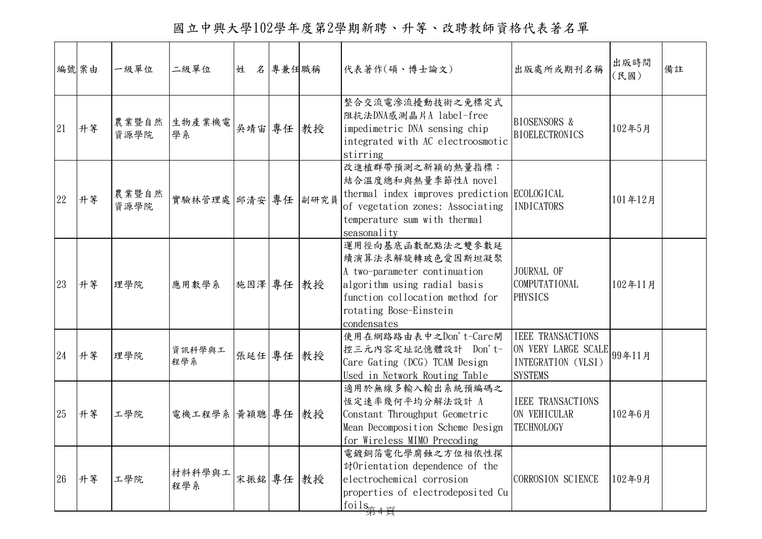國立中興大學102學年度第2學期新聘、升等、改聘教師資格代表著名單

|    | 編號案由 | 一級單位          | 二級單位               | 姓 名 專兼任職稱 |  | 代表著作(碩、博士論文)                                                                                                                                                                     | 出版處所或期刊名稱                                                                                      | 出版時間<br>(民國) | 備註 |
|----|------|---------------|--------------------|-----------|--|----------------------------------------------------------------------------------------------------------------------------------------------------------------------------------|------------------------------------------------------------------------------------------------|--------------|----|
| 21 | 升等   | 資源學院          | 農業暨自然 生物產業機電<br>學系 | 吳靖宙 專任 教授 |  | 整合交流電滲流擾動技術之免標定式<br>阻抗法DNA感測晶片A label-free<br>impedimetric DNA sensing chip<br>integrated with AC electroosmotic<br>stirring                                                     | <b>BIOSENSORS &amp;</b><br><b>BIOELECTRONICS</b>                                               | 102年5月       |    |
| 22 | 升等   | 農業暨自然<br>資源學院 | 實驗林管理處 邱清安 專任 副研究員 |           |  | 改進植群帶預測之新穎的熱量指標:<br>結合溫度總和與熱量季節性A novel<br>thermal index improves prediction ECOLOGICAL<br>of vegetation zones: Associating<br>temperature sum with thermal<br>seasonality       | <b>INDICATORS</b>                                                                              | 101年12月      |    |
| 23 | 升等   | 理學院           | 應用數學系              | 施因澤 專任 教授 |  | 運用徑向基底函數配點法之雙參數延<br>續演算法求解旋轉玻色愛因斯坦凝聚<br>A two-parameter continuation<br>algorithm using radial basis<br>function collocation method for<br>rotating Bose-Einstein<br>condensates | JOURNAL OF<br>COMPUTATIONAL<br><b>PHYSICS</b>                                                  | 102年11月      |    |
| 24 | 升等   | 理學院           | 資訊科學與工<br>程學系      | 張延任 專任 教授 |  | 使用在網路路由表中之Don't-Care閘<br>控三元內容定址記憶體設計 Don't-<br>Care Gating (DCG) TCAM Design<br>Used in Network Routing Table                                                                   | <b>IEEE TRANSACTIONS</b><br>ON VERY LARGE SCALE 99年11月<br>INTEGRATION (VLSI)<br><b>SYSTEMS</b> |              |    |
| 25 | 升等   | 工學院           | 電機工程學系 黃穎聰 專任 教授   |           |  | 適用於無線多輸入輸出系統預編碼之<br>恆定速率幾何平均分解法設計 A<br>Constant Throughput Geometric<br>Mean Decomposition Scheme Design<br>for Wireless MIMO Precoding                                          | <b>IEEE TRANSACTIONS</b><br>ON VEHICULAR<br><b>TECHNOLOGY</b>                                  | 102年6月       |    |
| 26 | 升等   | 工學院           | 材料科學與工<br>程學系      | 宋振銘 專任 教授 |  | 電鍍銅箔電化學腐蝕之方位相依性探<br>討Orientation dependence of the<br>electrochemical corrosion<br>properties of electrodeposited Cu<br>$foils_{\pm 1}$                                          | CORROSION SCIENCE                                                                              | 102年9月       |    |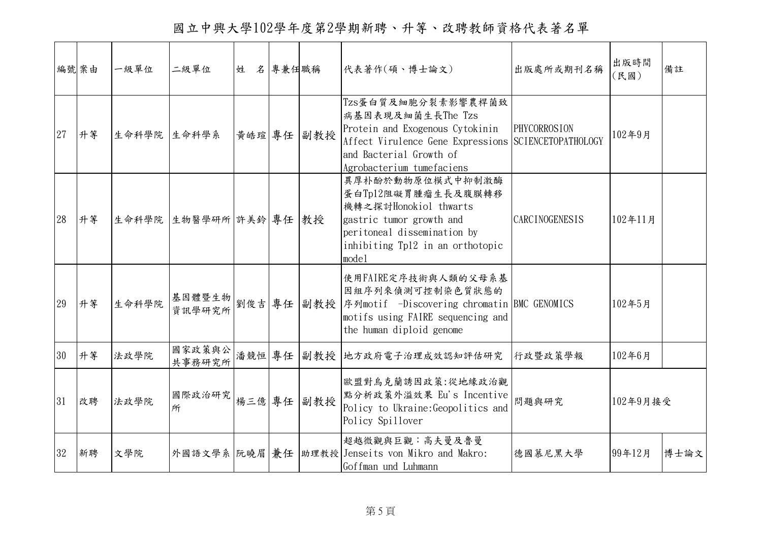國立中興大學102學年度第2學期新聘、升等、改聘教師資格代表著名單

|    | 編號案由 | 一級單位        | 二級單位                   | 姓      | 名專兼任職稱 |     | 代表著作(碩、博士論文)                                                                                                                                                                               | 出版處所或期刊名稱             | 出版時間<br>(民國) | 備註   |
|----|------|-------------|------------------------|--------|--------|-----|--------------------------------------------------------------------------------------------------------------------------------------------------------------------------------------------|-----------------------|--------------|------|
| 27 | 升等   | 生命科學院 生命科學系 |                        | 黃皓瑄 專任 |        | 副教授 | Tzs蛋白質及細胞分裂素影響農桿菌致<br>病基因表現及細菌生長The Tzs<br>Protein and Exogenous Cytokinin<br>Affect Virulence Gene Expressions SCIENCETOPATHOLOGY<br>and Bacterial Growth of<br>Agrobacterium tumefaciens | PHYCORROSION          | 102年9月       |      |
| 28 | 升等   |             | 生命科學院 生物醫學研所 許美鈴 專任 教授 |        |        |     | 異厚朴酚於動物原位模式中抑制激酶<br>蛋白Tp12阻礙胃腫瘤生長及腹膜轉移<br>機轉之探討Honokiol thwarts<br>gastric tumor growth and<br>peritoneal dissemination by<br>inhibiting Tp12 in an orthotopic<br>model                    | <b>CARCINOGENESIS</b> | 102年11月      |      |
| 29 | 升等   | 生命科學院       |                        |        |        |     | 使用FAIRE定序技術與人類的父母系基<br>因組序列來偵測可控制染色質狀態的<br> 基因體暨生物  劉俊吉  專任   副教授   序列motif -Discovering chromatin BMC GENOMICS<br>motifs using FAIRE sequencing and<br>the human diploid genome           |                       | 102年5月       |      |
| 30 | 升等   | 法政學院        | 國家政策與公<br>共事務研究所       | 潘競恒 專任 |        | 副教授 | 地方政府電子治理成效認知評估研究                                                                                                                                                                           | 行政暨政策學報               | 102年6月       |      |
| 31 | 改聘   | 法政學院        | 國際政治研究<br>所            | 楊三億 專任 |        | 副教授 | 歐盟對烏克蘭誘因政策:從地緣政治觀<br>點分析政策外溢效果 Eu's Incentive<br>Policy to Ukraine: Geopolitics and<br>Policy Spillover                                                                                    | 問題與研究                 | 102年9月接受     |      |
| 32 | 新聘   | 文學院         |                        |        |        |     | 超越微觀與巨觀:高夫曼及魯曼<br>外國語文學系 阮曉眉 兼任   助理教授   Jenseits von Mikro and Makro:<br>Goffman und Luhmann                                                                                              | 德國慕尼黑大學               | 99年12月       | 博士論文 |